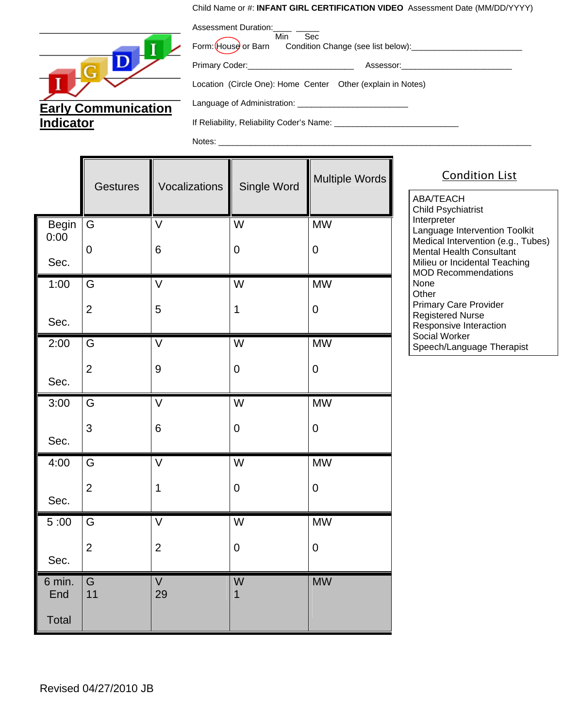## Child Name or #: **INFANT GIRL CERTIFICATION VIDEO** Assessment Date (MM/DD/YYYY)

Assessment Duration:



| ASSESSITIERIL DUI AIUIT.<br>Min<br>Sec                      | win Sec<br>Form: House or Barn Condition Change (see list below):__________________________ |  |  |  |
|-------------------------------------------------------------|---------------------------------------------------------------------------------------------|--|--|--|
|                                                             | Assessor: Assessor:                                                                         |  |  |  |
| Location (Circle One): Home Center Other (explain in Notes) |                                                                                             |  |  |  |
|                                                             |                                                                                             |  |  |  |
| If Reliability, Reliability Coder's Name:                   |                                                                                             |  |  |  |

Notes:

|                      | <b>Gestures</b> | Vocalizations     | Single Word             | Multiple Words |
|----------------------|-----------------|-------------------|-------------------------|----------------|
| <b>Begin</b><br>0:00 | G               | $\overline{\vee}$ | $\overline{W}$          | <b>MW</b>      |
| Sec.                 | $\mathbf 0$     | 6                 | $\boldsymbol{0}$        | $\pmb{0}$      |
| 1:00                 | G               | V                 | W                       | <b>MW</b>      |
| Sec.                 | $\overline{2}$  | 5                 | 1                       | $\pmb{0}$      |
| 2:00                 | G               | $\overline{\vee}$ | $\overline{\mathsf{W}}$ | <b>MW</b>      |
| Sec.                 | $\overline{2}$  | $\boldsymbol{9}$  | $\pmb{0}$               | $\pmb{0}$      |
| 3:00                 | G               | $\vee$            | W                       | <b>MW</b>      |
| Sec.                 | 3               | 6                 | $\boldsymbol{0}$        | $\mathbf 0$    |
| 4:00                 | G               | $\overline{\vee}$ | $\overline{W}$          | <b>MW</b>      |
| Sec.                 | $\overline{2}$  | $\mathbf 1$       | $\pmb{0}$               | $\pmb{0}$      |
| 5:00                 | G               | $\overline{\vee}$ | W                       | <b>MW</b>      |
| Sec.                 | $\overline{2}$  | $\overline{2}$    | $\pmb{0}$               | $\mathbf 0$    |
| 6 min.<br>End        | G<br>11         | V<br>29           | W<br>1                  | <b>MW</b>      |
| Total                |                 |                   |                         |                |

Condition List

ABA/TEACH Child Psychiatrist **Interpreter** Language Intervention Toolkit Medical Intervention (e.g., Tubes) Mental Health Consultant Milieu or Incidental Teaching MOD Recommendations None **Other** Primary Care Provider Registered Nurse Responsive Interaction Social Worker Speech/Language Therapist